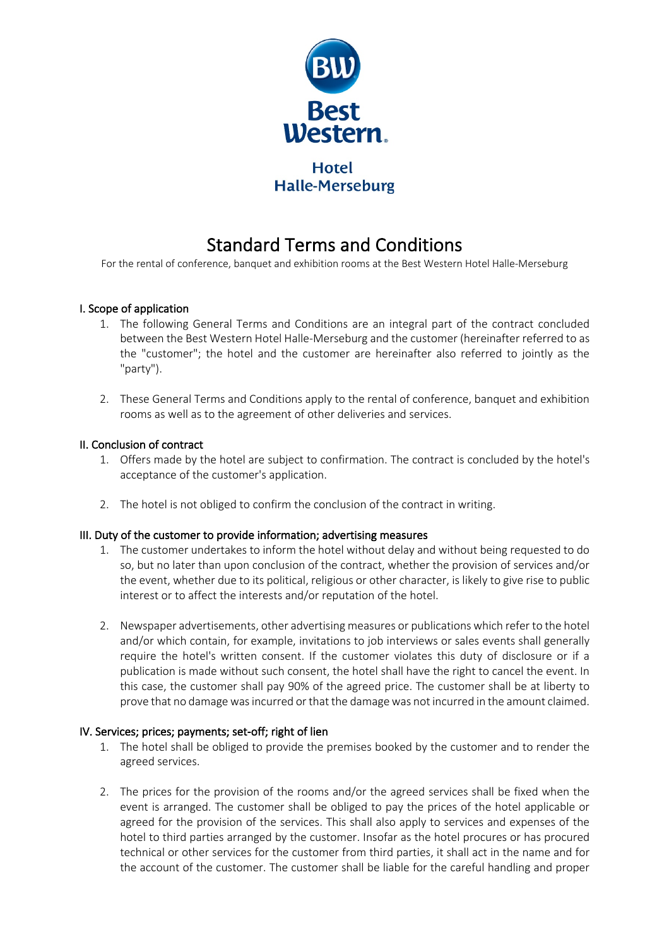

# Standard Terms and Conditions<br>For the rental of conference, banquet and exhibition rooms at the Best Western Hotel Halle-Merseburg

# I. Scope of application

- 1. The following General Terms and Conditions are an integral part of the contract concluded between the Best Western Hotel Halle-Merseburg and the customer (hereinafter referred to as the "customer"; the hotel and the customer are hereinafter also referred to jointly as the "party").
- 2. These General Terms and Conditions apply to the rental of conference, banquet and exhibition rooms as well as to the agreement of other deliveries and services.

### II. Conclusion of contract

- 1. Offers made by the hotel are subject to confirmation. The contract is concluded by the hotel's acceptance of the customer's application.
- 2. The hotel is not obliged to confirm the conclusion of the contract in writing.

### III. Duty of the customer to provide information; advertising measures

- 1. The customer undertakes to inform the hotel without delay and without being requested to do so, but no later than upon conclusion of the contract, whether the provision of services and/or the event, whether due to its political, religious or other character, is likely to give rise to public interest or to affect the interests and/or reputation of the hotel.
- 2. Newspaper advertisements, other advertising measures or publications which refer to the hotel and/or which contain, for example, invitations to job interviews or sales events shall generally require the hotel's written consent. If the customer violates this duty of disclosure or if a publication is made without such consent, the hotel shall have the right to cancel the event. In this case, the customer shall pay 90% of the agreed price. The customer shall be at liberty to prove that no damage was incurred or that the damage was not incurred in the amount claimed.

### IV. Services; prices; payments; set-off; right of lien

- 1. The hotel shall be obliged to provide the premises booked by the customer and to render the agreed services.
- 2. The prices for the provision of the rooms and/or the agreed services shall be fixed when the event is arranged. The customer shall be obliged to pay the prices of the hotel applicable or agreed for the provision of the services. This shall also apply to services and expenses of the hotel to third parties arranged by the customer. Insofar as the hotel procures or has procured technical or other services for the customer from third parties, it shall act in the name and for the account of the customer. The customer shall be liable for the careful handling and proper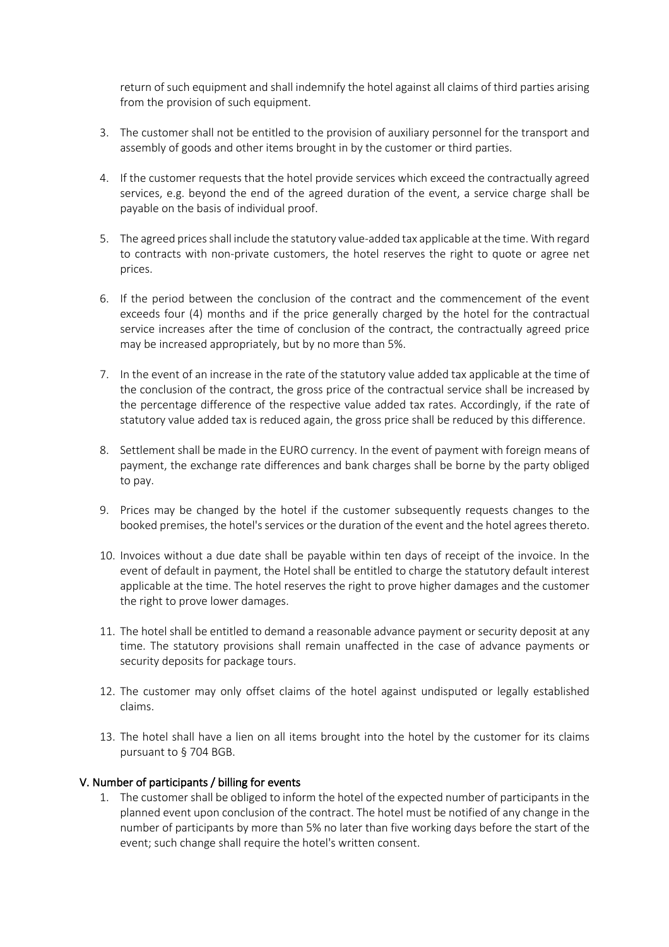return of such equipment and shall indemnify the hotel against all claims of third parties arising from the provision of such equipment.

- 3. The customer shall not be entitled to the provision of auxiliary personnel for the transport and assembly of goods and other items brought in by the customer or third parties.
- 4. If the customer requests that the hotel provide services which exceed the contractually agreed services, e.g. beyond the end of the agreed duration of the event, a service charge shall be payable on the basis of individual proof.
- 5. The agreed prices shall include the statutory value-added tax applicable at the time. With regard to contracts with non-private customers, the hotel reserves the right to quote or agree net prices.
- 6. If the period between the conclusion of the contract and the commencement of the event exceeds four (4) months and if the price generally charged by the hotel for the contractual service increases after the time of conclusion of the contract, the contractually agreed price may be increased appropriately, but by no more than 5%.
- 7. In the event of an increase in the rate of the statutory value added tax applicable at the time of the conclusion of the contract, the gross price of the contractual service shall be increased by the percentage difference of the respective value added tax rates. Accordingly, if the rate of statutory value added tax is reduced again, the gross price shall be reduced by this difference.
- 8. Settlement shall be made in the EURO currency. In the event of payment with foreign means of payment, the exchange rate differences and bank charges shall be borne by the party obliged to pay.
- 9. Prices may be changed by the hotel if the customer subsequently requests changes to the booked premises, the hotel's services or the duration of the event and the hotel agrees thereto.
- 10. Invoices without a due date shall be payable within ten days of receipt of the invoice. In the event of default in payment, the Hotel shall be entitled to charge the statutory default interest applicable at the time. The hotel reserves the right to prove higher damages and the customer the right to prove lower damages.
- 11. The hotel shall be entitled to demand a reasonable advance payment or security deposit at any time. The statutory provisions shall remain unaffected in the case of advance payments or security deposits for package tours.
- 12. The customer may only offset claims of the hotel against undisputed or legally established claims.
- 13. The hotel shall have a lien on all items brought into the hotel by the customer for its claims pursuant to § 704 BGB.

### V. Number of participants / billing for events

1. The customer shall be obliged to inform the hotel of the expected number of participants in the planned event upon conclusion of the contract. The hotel must be notified of any change in the number of participants by more than 5% no later than five working days before the start of the event; such change shall require the hotel's written consent.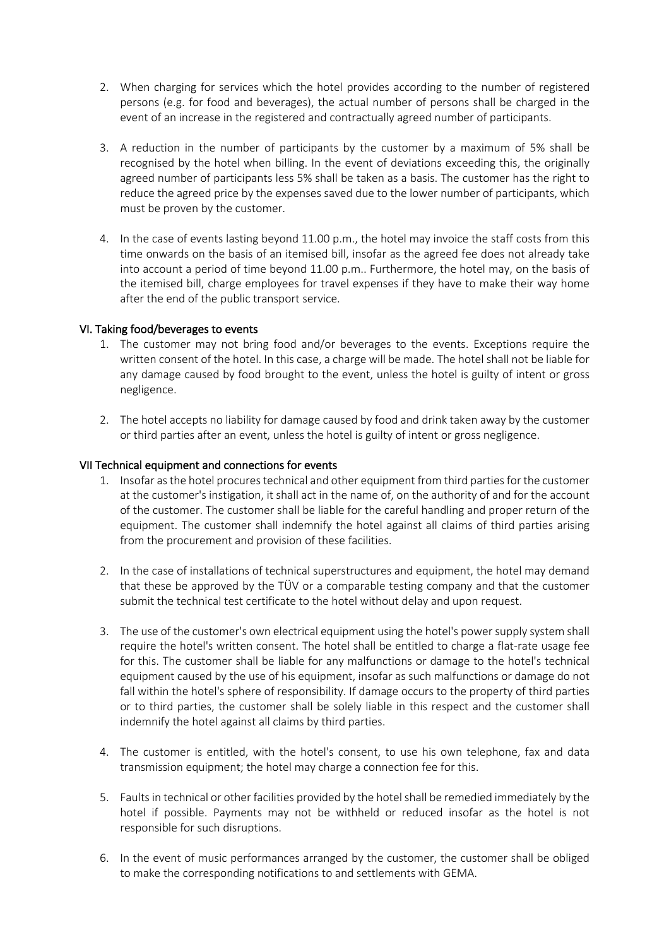- 2. When charging for services which the hotel provides according to the number of registered persons (e.g. for food and beverages), the actual number of persons shall be charged in the event of an increase in the registered and contractually agreed number of participants.
- 3. A reduction in the number of participants by the customer by a maximum of 5% shall be recognised by the hotel when billing. In the event of deviations exceeding this, the originally agreed number of participants less 5% shall be taken as a basis. The customer has the right to reduce the agreed price by the expenses saved due to the lower number of participants, which must be proven by the customer.
- 4. In the case of events lasting beyond 11.00 p.m., the hotel may invoice the staff costs from this time onwards on the basis of an itemised bill, insofar as the agreed fee does not already take into account a period of time beyond 11.00 p.m.. Furthermore, the hotel may, on the basis of the itemised bill, charge employees for travel expenses if they have to make their way home after the end of the public transport service.

## VI. Taking food/beverages to events

- 1. The customer may not bring food and/or beverages to the events. Exceptions require the written consent of the hotel. In this case, a charge will be made. The hotel shall not be liable for any damage caused by food brought to the event, unless the hotel is guilty of intent or gross negligence.
- 2. The hotel accepts no liability for damage caused by food and drink taken away by the customer or third parties after an event, unless the hotel is guilty of intent or gross negligence.

### VII Technical equipment and connections for events

- 1. Insofar as the hotel procures technical and other equipment from third parties for the customer at the customer's instigation, it shall act in the name of, on the authority of and for the account of the customer. The customer shall be liable for the careful handling and proper return of the equipment. The customer shall indemnify the hotel against all claims of third parties arising from the procurement and provision of these facilities.
- 2. In the case of installations of technical superstructures and equipment, the hotel may demand that these be approved by the TÜV or a comparable testing company and that the customer submit the technical test certificate to the hotel without delay and upon request.
- 3. The use of the customer's own electrical equipment using the hotel's power supply system shall require the hotel's written consent. The hotel shall be entitled to charge a flat-rate usage fee for this. The customer shall be liable for any malfunctions or damage to the hotel's technical equipment caused by the use of his equipment, insofar as such malfunctions or damage do not fall within the hotel's sphere of responsibility. If damage occurs to the property of third parties or to third parties, the customer shall be solely liable in this respect and the customer shall indemnify the hotel against all claims by third parties.
- 4. The customer is entitled, with the hotel's consent, to use his own telephone, fax and data transmission equipment; the hotel may charge a connection fee for this.
- 5. Faults in technical or other facilities provided by the hotel shall be remedied immediately by the hotel if possible. Payments may not be withheld or reduced insofar as the hotel is not responsible for such disruptions.
- 6. In the event of music performances arranged by the customer, the customer shall be obliged to make the corresponding notifications to and settlements with GEMA.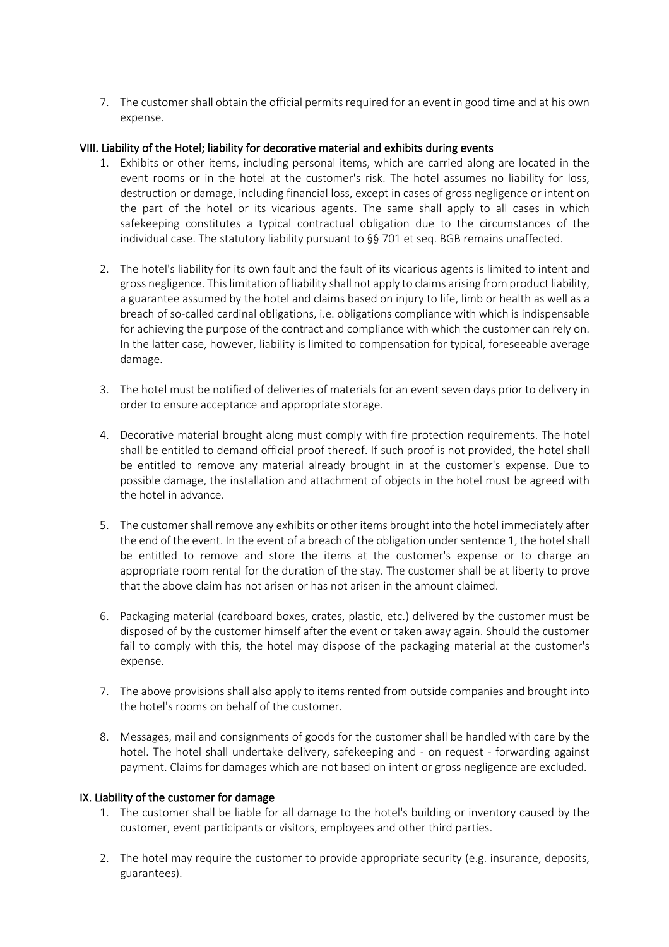7. The customer shall obtain the official permits required for an event in good time and at his own expense.

## VIII. Liability of the Hotel; liability for decorative material and exhibits during events

- 1. Exhibits or other items, including personal items, which are carried along are located in the event rooms or in the hotel at the customer's risk. The hotel assumes no liability for loss, destruction or damage, including financial loss, except in cases of gross negligence or intent on the part of the hotel or its vicarious agents. The same shall apply to all cases in which safekeeping constitutes a typical contractual obligation due to the circumstances of the individual case. The statutory liability pursuant to §§ 701 et seq. BGB remains unaffected.
- 2. The hotel's liability for its own fault and the fault of its vicarious agents is limited to intent and gross negligence. This limitation of liability shall not apply to claims arising from product liability, a guarantee assumed by the hotel and claims based on injury to life, limb or health as well as a breach of so-called cardinal obligations, i.e. obligations compliance with which is indispensable for achieving the purpose of the contract and compliance with which the customer can rely on. In the latter case, however, liability is limited to compensation for typical, foreseeable average damage.
- 3. The hotel must be notified of deliveries of materials for an event seven days prior to delivery in order to ensure acceptance and appropriate storage.
- 4. Decorative material brought along must comply with fire protection requirements. The hotel shall be entitled to demand official proof thereof. If such proof is not provided, the hotel shall be entitled to remove any material already brought in at the customer's expense. Due to possible damage, the installation and attachment of objects in the hotel must be agreed with the hotel in advance.
- 5. The customer shall remove any exhibits or other items brought into the hotel immediately after the end of the event. In the event of a breach of the obligation under sentence 1, the hotel shall be entitled to remove and store the items at the customer's expense or to charge an appropriate room rental for the duration of the stay. The customer shall be at liberty to prove that the above claim has not arisen or has not arisen in the amount claimed.
- 6. Packaging material (cardboard boxes, crates, plastic, etc.) delivered by the customer must be disposed of by the customer himself after the event or taken away again. Should the customer fail to comply with this, the hotel may dispose of the packaging material at the customer's expense.
- 7. The above provisions shall also apply to items rented from outside companies and brought into the hotel's rooms on behalf of the customer.
- 8. Messages, mail and consignments of goods for the customer shall be handled with care by the hotel. The hotel shall undertake delivery, safekeeping and - on request - forwarding against payment. Claims for damages which are not based on intent or gross negligence are excluded.

### IX. Liability of the customer for damage

- 1. The customer shall be liable for all damage to the hotel's building or inventory caused by the customer, event participants or visitors, employees and other third parties.
- 2. The hotel may require the customer to provide appropriate security (e.g. insurance, deposits, guarantees).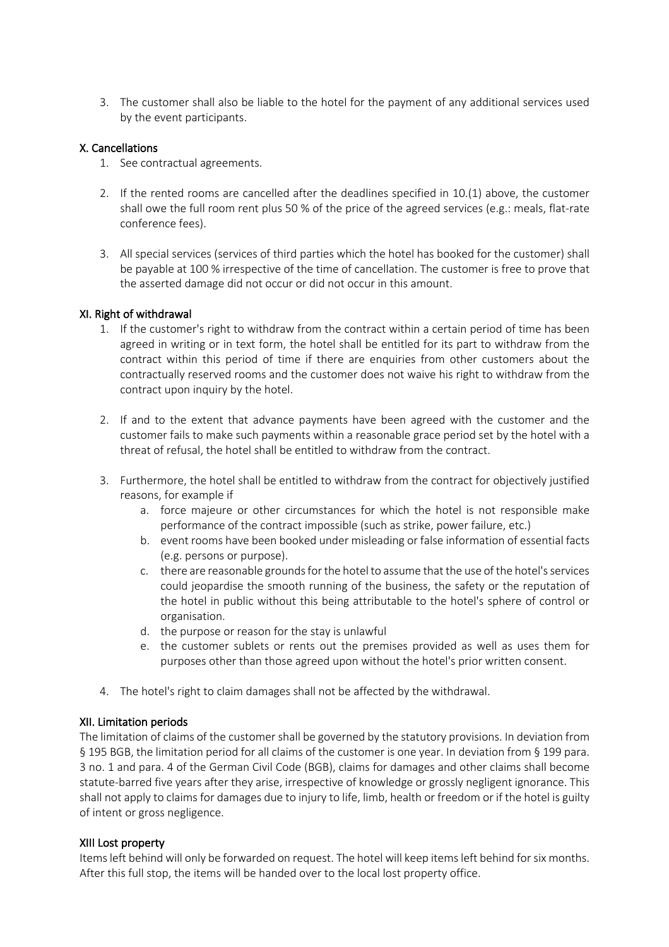3. The customer shall also be liable to the hotel for the payment of any additional services used by the event participants.

## X. Cancellations

- 1. See contractual agreements.
- 2. If the rented rooms are cancelled after the deadlines specified in 10.(1) above, the customer shall owe the full room rent plus 50 % of the price of the agreed services (e.g.: meals, flat-rate conference fees).
- 3. All special services (services of third parties which the hotel has booked for the customer) shall be payable at 100 % irrespective of the time of cancellation. The customer is free to prove that the asserted damage did not occur or did not occur in this amount.

## XI. Right of withdrawal

- 1. If the customer's right to withdraw from the contract within a certain period of time has been agreed in writing or in text form, the hotel shall be entitled for its part to withdraw from the contract within this period of time if there are enquiries from other customers about the contractually reserved rooms and the customer does not waive his right to withdraw from the contract upon inquiry by the hotel.
- 2. If and to the extent that advance payments have been agreed with the customer and the customer fails to make such payments within a reasonable grace period set by the hotel with a threat of refusal, the hotel shall be entitled to withdraw from the contract.
- 3. Furthermore, the hotel shall be entitled to withdraw from the contract for objectively justified reasons, for example if
	- a. force majeure or other circumstances for which the hotel is not responsible make performance of the contract impossible (such as strike, power failure, etc.)
	- b. event rooms have been booked under misleading or false information of essential facts (e.g. persons or purpose).
	- c. there are reasonable grounds for the hotel to assume that the use of the hotel's services could jeopardise the smooth running of the business, the safety or the reputation of the hotel in public without this being attributable to the hotel's sphere of control or organisation.
	- d. the purpose or reason for the stay is unlawful
	- e. the customer sublets or rents out the premises provided as well as uses them for purposes other than those agreed upon without the hotel's prior written consent.
- 4. The hotel's right to claim damages shall not be affected by the withdrawal.

# XII. Limitation periods

The limitation of claims of the customer shall be governed by the statutory provisions. In deviation from § 195 BGB, the limitation period for all claims of the customer is one year. In deviation from § 199 para. 3 no. 1 and para. 4 of the German Civil Code (BGB), claims for damages and other claims shall become statute-barred five years after they arise, irrespective of knowledge or grossly negligent ignorance. This shall not apply to claims for damages due to injury to life, limb, health or freedom or if the hotel is guilty of intent or gross negligence.

# XIII Lost property

Items left behind will only be forwarded on request. The hotel will keep items left behind for six months. After this full stop, the items will be handed over to the local lost property office.